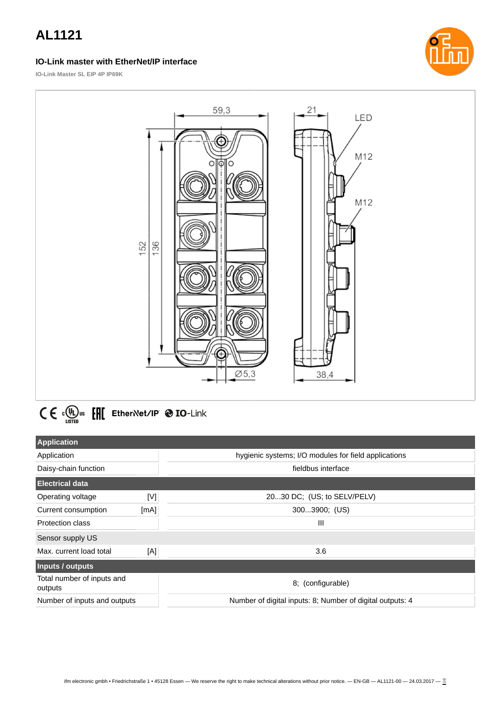#### **IO-Link master with EtherNet/IP interface**



**IO-Link Master SL EIP 4P IP69K**



# $C \in \Omega_{\text{LSTED}}^{(n)}$  or  $E$   $E$  Ether Net/IP  $\otimes$  IO-Link

| <b>Application</b>                    |      |                                                           |  |
|---------------------------------------|------|-----------------------------------------------------------|--|
| Application                           |      | hygienic systems; I/O modules for field applications      |  |
| Daisy-chain function                  |      | fieldbus interface                                        |  |
| <b>Electrical data</b>                |      |                                                           |  |
| Operating voltage                     | [V]  | 2030 DC; (US; to SELV/PELV)                               |  |
| Current consumption                   | [mA] | 3003900; (US)                                             |  |
| <b>Protection class</b>               |      | $\mathbf{III}$                                            |  |
| Sensor supply US                      |      |                                                           |  |
| Max. current load total               | [A]  | 3.6                                                       |  |
| Inputs / outputs                      |      |                                                           |  |
| Total number of inputs and<br>outputs |      | 8; (configurable)                                         |  |
| Number of inputs and outputs          |      | Number of digital inputs: 8; Number of digital outputs: 4 |  |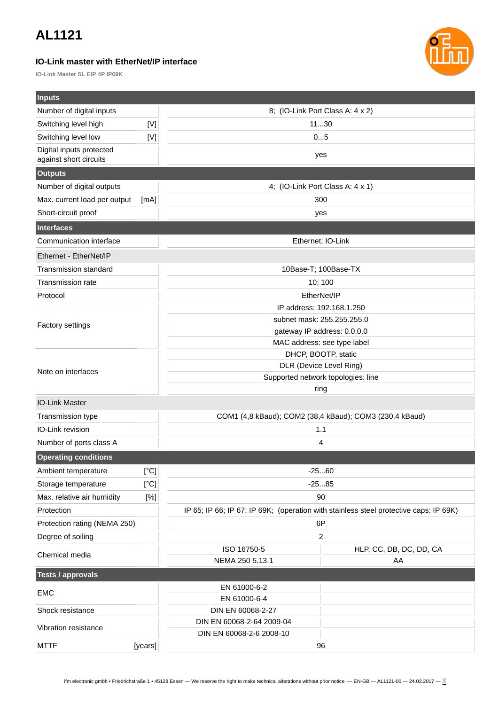#### **IO-Link master with EtherNet/IP interface**

**IO-Link Master SL EIP 4P IP69K**



| <b>Inputs</b>                |             |                                                                                             |                         |  |
|------------------------------|-------------|---------------------------------------------------------------------------------------------|-------------------------|--|
| Number of digital inputs     |             | 8; (IO-Link Port Class A: 4 x 2)                                                            |                         |  |
| Switching level high         | $[{\sf V}]$ | 1130                                                                                        |                         |  |
| Switching level low          | [V]         | 05                                                                                          |                         |  |
| Digital inputs protected     |             | yes                                                                                         |                         |  |
| against short circuits       |             |                                                                                             |                         |  |
| <b>Outputs</b>               |             |                                                                                             |                         |  |
| Number of digital outputs    |             | 4; (IO-Link Port Class A: 4 x 1)                                                            |                         |  |
| Max. current load per output | [mA]        | 300                                                                                         |                         |  |
| Short-circuit proof          |             |                                                                                             | yes                     |  |
| <b>Interfaces</b>            |             |                                                                                             |                         |  |
| Communication interface      |             |                                                                                             | Ethernet; IO-Link       |  |
| Ethernet - EtherNet/IP       |             |                                                                                             |                         |  |
| <b>Transmission standard</b> |             |                                                                                             | 10Base-T; 100Base-TX    |  |
| Transmission rate            |             | 10; 100                                                                                     |                         |  |
| Protocol                     |             | EtherNet/IP                                                                                 |                         |  |
|                              |             | IP address: 192.168.1.250                                                                   |                         |  |
| <b>Factory settings</b>      |             | subnet mask: 255.255.255.0                                                                  |                         |  |
|                              |             | gateway IP address: 0.0.0.0                                                                 |                         |  |
|                              |             | MAC address: see type label                                                                 |                         |  |
|                              |             |                                                                                             | DHCP, BOOTP, static     |  |
| Note on interfaces           |             | DLR (Device Level Ring)                                                                     |                         |  |
|                              |             | Supported network topologies: line<br>ring                                                  |                         |  |
| <b>IO-Link Master</b>        |             |                                                                                             |                         |  |
| Transmission type            |             |                                                                                             |                         |  |
| IO-Link revision             |             | COM1 (4,8 kBaud); COM2 (38,4 kBaud); COM3 (230,4 kBaud)<br>1.1                              |                         |  |
| Number of ports class A      |             | 4                                                                                           |                         |  |
| <b>Operating conditions</b>  |             |                                                                                             |                         |  |
| Ambient temperature          | [°C]        |                                                                                             |                         |  |
| Storage temperature          | [°C]        | $-2560$<br>$-2585$                                                                          |                         |  |
| Max. relative air humidity   | [%]         | 90                                                                                          |                         |  |
| Protection                   |             |                                                                                             |                         |  |
| Protection rating (NEMA 250) |             | IP 65; IP 66; IP 67; IP 69K; (operation with stainless steel protective caps: IP 69K)<br>6P |                         |  |
| Degree of soiling            |             | $\overline{c}$                                                                              |                         |  |
|                              |             | ISO 16750-5                                                                                 | HLP, CC, DB, DC, DD, CA |  |
| Chemical media               |             | NEMA 250 5.13.1                                                                             | AA                      |  |
| <b>Tests / approvals</b>     |             |                                                                                             |                         |  |
|                              |             | EN 61000-6-2                                                                                |                         |  |
| EMC                          |             | EN 61000-6-4                                                                                |                         |  |
| Shock resistance             |             | DIN EN 60068-2-27                                                                           |                         |  |
| Vibration resistance         |             | DIN EN 60068-2-64 2009-04                                                                   |                         |  |
|                              |             | DIN EN 60068-2-6 2008-10                                                                    |                         |  |
| <b>MTTF</b>                  | [years]     | 96                                                                                          |                         |  |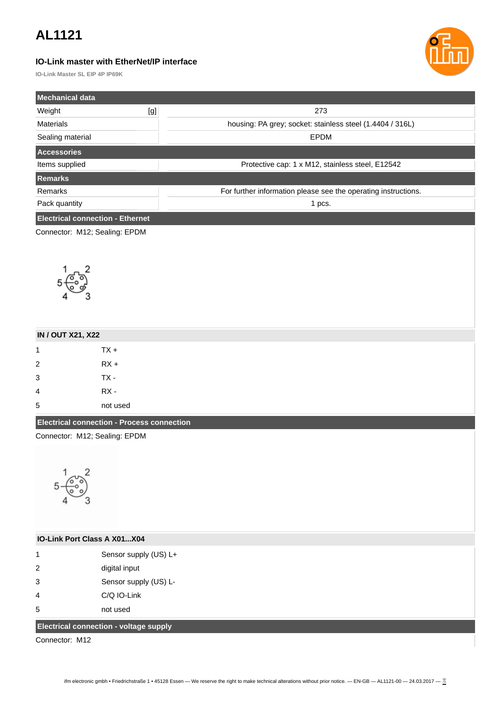### **IO-Link master with EtherNet/IP interface**



**IO-Link Master SL EIP 4P IP69K**

| Mechanical data                            |                                        |                                                                |  |
|--------------------------------------------|----------------------------------------|----------------------------------------------------------------|--|
| Weight                                     | [g]                                    | 273                                                            |  |
| Materials                                  |                                        | housing: PA grey; socket: stainless steel (1.4404 / 316L)      |  |
| Sealing material                           |                                        | EPDM                                                           |  |
| Accessories                                |                                        |                                                                |  |
| Items supplied                             |                                        | Protective cap: 1 x M12, stainless steel, E12542               |  |
| <b>Remarks</b>                             |                                        |                                                                |  |
| Remarks                                    |                                        | For further information please see the operating instructions. |  |
| Pack quantity                              |                                        | 1 pcs.                                                         |  |
| <b>Electrical connection - Ethernet</b>    |                                        |                                                                |  |
| Connector: M12; Sealing: EPDM              |                                        |                                                                |  |
|                                            |                                        |                                                                |  |
|                                            |                                        |                                                                |  |
|                                            |                                        |                                                                |  |
|                                            |                                        |                                                                |  |
|                                            |                                        |                                                                |  |
|                                            |                                        |                                                                |  |
|                                            |                                        |                                                                |  |
| <b>IN / OUT X21, X22</b>                   |                                        |                                                                |  |
| 1                                          | $TX +$                                 |                                                                |  |
| $\overline{\mathbf{c}}$                    | $RX +$                                 |                                                                |  |
| 3                                          | TX-                                    |                                                                |  |
| 4                                          | $RX -$                                 |                                                                |  |
| 5                                          | not used                               |                                                                |  |
| Electrical connection - Process connection |                                        |                                                                |  |
| Connector: M12; Sealing: EPDM              |                                        |                                                                |  |
|                                            |                                        |                                                                |  |
|                                            |                                        |                                                                |  |
|                                            |                                        |                                                                |  |
|                                            |                                        |                                                                |  |
|                                            |                                        |                                                                |  |
|                                            |                                        |                                                                |  |
| IO-Link Port Class A X01X04                |                                        |                                                                |  |
| $\mathbf 1$                                |                                        |                                                                |  |
| 2                                          | Sensor supply (US) L+<br>digital input |                                                                |  |
| 3                                          | Sensor supply (US) L-                  |                                                                |  |
| 4                                          | C/Q IO-Link                            |                                                                |  |
| 5                                          | not used                               |                                                                |  |
|                                            |                                        |                                                                |  |
| Electrical connection - voltage supply     |                                        |                                                                |  |
| Connector: M12                             |                                        |                                                                |  |